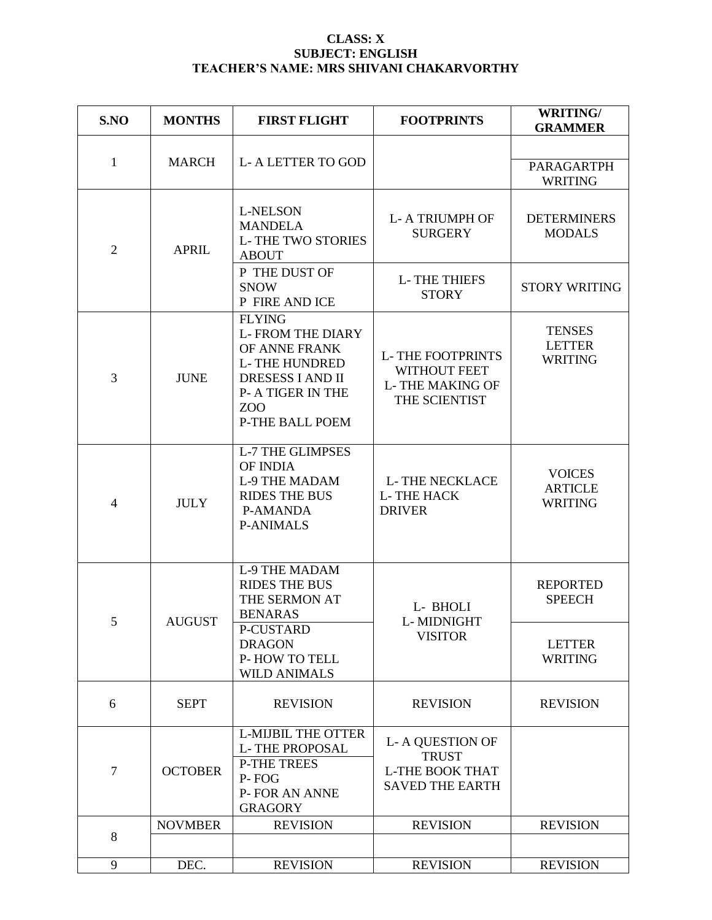## **CLASS: X SUBJECT: ENGLISH TEACHER'S NAME: MRS SHIVANI CHAKARVORTHY**

| S.NO           | <b>MONTHS</b>  | <b>FIRST FLIGHT</b>                                                                                                                                                       | <b>FOOTPRINTS</b>                                                                          | <b>WRITING/</b><br><b>GRAMMER</b>                 |
|----------------|----------------|---------------------------------------------------------------------------------------------------------------------------------------------------------------------------|--------------------------------------------------------------------------------------------|---------------------------------------------------|
|                |                |                                                                                                                                                                           |                                                                                            |                                                   |
| 1              | <b>MARCH</b>   | <b>L-A LETTER TO GOD</b>                                                                                                                                                  |                                                                                            | <b>PARAGARTPH</b><br><b>WRITING</b>               |
| $\overline{2}$ | <b>APRIL</b>   | <b>L-NELSON</b><br><b>MANDELA</b><br><b>L-THE TWO STORIES</b><br><b>ABOUT</b>                                                                                             | <b>L-A TRIUMPH OF</b><br><b>SURGERY</b>                                                    | <b>DETERMINERS</b><br><b>MODALS</b>               |
|                |                | P THE DUST OF<br><b>SNOW</b><br>P FIRE AND ICE                                                                                                                            | <b>L-THE THIEFS</b><br><b>STORY</b>                                                        | <b>STORY WRITING</b>                              |
| $\overline{3}$ | <b>JUNE</b>    | <b>FLYING</b><br><b>L-FROM THE DIARY</b><br>OF ANNE FRANK<br><b>L-THE HUNDRED</b><br><b>DRESESS I AND II</b><br><b>P- A TIGER IN THE</b><br>ZOO<br><b>P-THE BALL POEM</b> | <b>L-THE FOOTPRINTS</b><br><b>WITHOUT FEET</b><br><b>L-THE MAKING OF</b><br>THE SCIENTIST  | <b>TENSES</b><br><b>LETTER</b><br><b>WRITING</b>  |
| $\overline{4}$ | <b>JULY</b>    | <b>L-7 THE GLIMPSES</b><br>OF INDIA<br><b>L-9 THE MADAM</b><br><b>RIDES THE BUS</b><br><b>P-AMANDA</b><br><b>P-ANIMALS</b>                                                | <b>L-THE NECKLACE</b><br><b>L-THE HACK</b><br><b>DRIVER</b>                                | <b>VOICES</b><br><b>ARTICLE</b><br><b>WRITING</b> |
| 5              | <b>AUGUST</b>  | <b>L-9 THE MADAM</b><br><b>RIDES THE BUS</b><br>THE SERMON AT<br><b>BENARAS</b>                                                                                           | L- BHOLI<br>L-MIDNIGHT                                                                     | <b>REPORTED</b><br><b>SPEECH</b>                  |
|                |                | P-CUSTARD<br><b>DRAGON</b><br>P-HOW TO TELL<br><b>WILD ANIMALS</b>                                                                                                        | <b>VISITOR</b>                                                                             | <b>LETTER</b><br><b>WRITING</b>                   |
| 6              | <b>SEPT</b>    | <b>REVISION</b>                                                                                                                                                           | <b>REVISION</b>                                                                            | <b>REVISION</b>                                   |
| $\overline{7}$ | <b>OCTOBER</b> | <b>L-MIJBIL THE OTTER</b><br><b>L-THE PROPOSAL</b><br><b>P-THE TREES</b><br>P-FOG<br><b>P-FOR AN ANNE</b><br><b>GRAGORY</b>                                               | <b>L-A QUESTION OF</b><br><b>TRUST</b><br><b>L-THE BOOK THAT</b><br><b>SAVED THE EARTH</b> |                                                   |
| 8              | <b>NOVMBER</b> | <b>REVISION</b>                                                                                                                                                           | <b>REVISION</b>                                                                            | <b>REVISION</b>                                   |
| 9              | DEC.           | <b>REVISION</b>                                                                                                                                                           | <b>REVISION</b>                                                                            | <b>REVISION</b>                                   |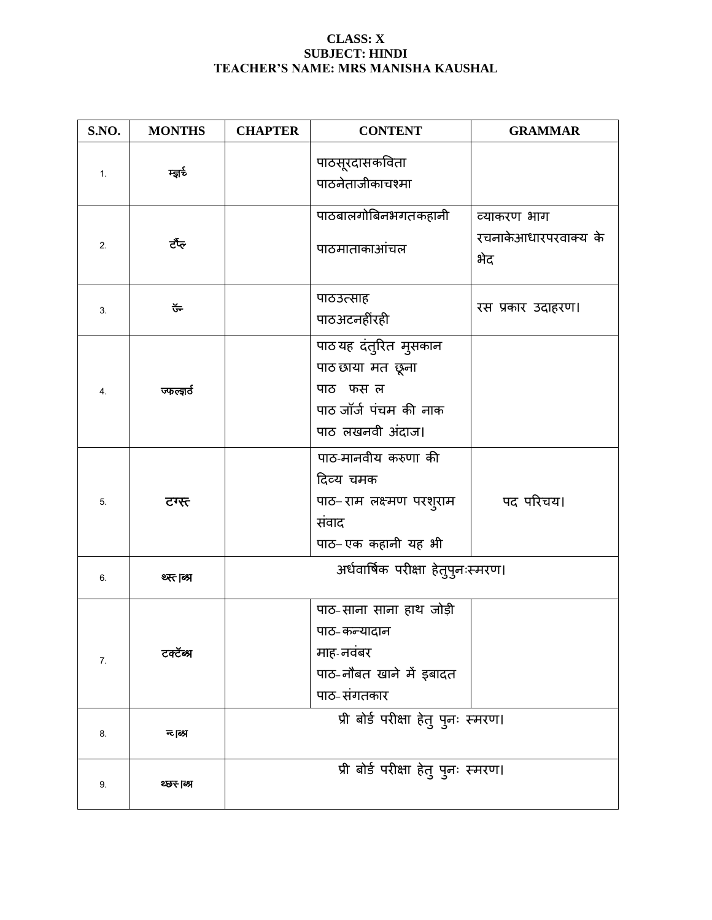## **CLASS: X SUBJECT: HINDI TEACHER'S NAME: MRS MANISHA KAUSHAL**

| S.NO. | <b>MONTHS</b> | <b>CHAPTER</b>                      | <b>CONTENT</b>                                                                                     | <b>GRAMMAR</b>                             |
|-------|---------------|-------------------------------------|----------------------------------------------------------------------------------------------------|--------------------------------------------|
| 1.    | म्ज़र्रु      |                                     | पाठसूरदासकविता<br>पाठनेताजीकाचश्मा                                                                 |                                            |
| 2.    | ਟੱੱਕ          |                                     | पाठबालगोबिनभगतकहानी<br>पाठमाताकाआंचल                                                               | व्याकरण भाग<br>रचनाकेआधारपरवाक्य के<br>भेद |
| 3.    | ᢎᢅ            |                                     | पाठउत्साह<br>पाठअटनहींरही                                                                          | रस प्रकार उदाहरण।                          |
| 4.    | অচল্বের্ত     |                                     | पाठ यह दंतुरित मुसकान<br>पाठ छाया मत छूना<br>पाठ फस ल<br>पाठ जॉर्ज पंचम की नाक<br>पाठ लखनवी अंदाज। |                                            |
| 5.    | टग्स्त        |                                     | पाठ-मानवीय करुणा की<br>दिव्य चमक<br>पाठ– राम लक्ष्मण परशुराम<br>संवाद<br>पाठ- एक कहानी यह भी       | पद परिचय।                                  |
| 6.    | श्म्त ब्रि    | अर्धवार्षिक परीक्षा हेतुपुनःस्मरण।  |                                                                                                    |                                            |
| 7.    | टक्टॅब्श्र    |                                     | पाठ-साना साना हाथ जोड़ी<br>पाठ-कन्यादान<br>माह-नवंबर<br>पाठ-नौबत खाने में इबादत<br>पाठ-संगतकार     |                                            |
| 8.    | न्ट।ब्ध्र     | प्री बोर्ड परीक्षा हेतु पुनः स्मरण। |                                                                                                    |                                            |
| 9.    | थ्छर-।ब्श्र   | प्री बोर्ड परीक्षा हेतु पुनः स्मरण। |                                                                                                    |                                            |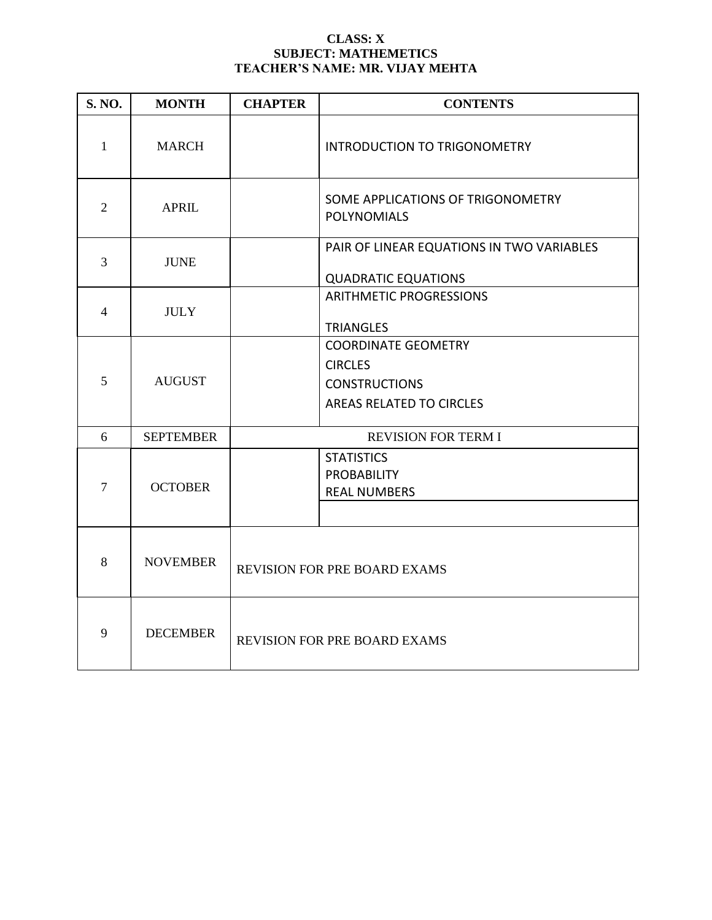## **CLASS: X SUBJECT: MATHEMETICS TEACHER'S NAME: MR. VIJAY MEHTA**

| <b>S. NO.</b>  | <b>MONTH</b>     | <b>CHAPTER</b>                                                 | <b>CONTENTS</b>                                                                                  |
|----------------|------------------|----------------------------------------------------------------|--------------------------------------------------------------------------------------------------|
| $\mathbf{1}$   | <b>MARCH</b>     |                                                                | INTRODUCTION TO TRIGONOMETRY                                                                     |
| $\overline{2}$ | <b>APRIL</b>     |                                                                | SOME APPLICATIONS OF TRIGONOMETRY<br><b>POLYNOMIALS</b>                                          |
| 3              | <b>JUNE</b>      |                                                                | PAIR OF LINEAR EQUATIONS IN TWO VARIABLES<br><b>QUADRATIC EQUATIONS</b>                          |
| $\overline{4}$ | <b>JULY</b>      | <b>ARITHMETIC PROGRESSIONS</b><br><b>TRIANGLES</b>             |                                                                                                  |
| 5              | <b>AUGUST</b>    |                                                                | <b>COORDINATE GEOMETRY</b><br><b>CIRCLES</b><br><b>CONSTRUCTIONS</b><br>AREAS RELATED TO CIRCLES |
| 6              | <b>SEPTEMBER</b> | <b>REVISION FOR TERM I</b>                                     |                                                                                                  |
| $\overline{7}$ | <b>OCTOBER</b>   | <b>STATISTICS</b><br><b>PROBABILITY</b><br><b>REAL NUMBERS</b> |                                                                                                  |
| 8              | <b>NOVEMBER</b>  | <b>REVISION FOR PRE BOARD EXAMS</b>                            |                                                                                                  |
| 9              | <b>DECEMBER</b>  | <b>REVISION FOR PRE BOARD EXAMS</b>                            |                                                                                                  |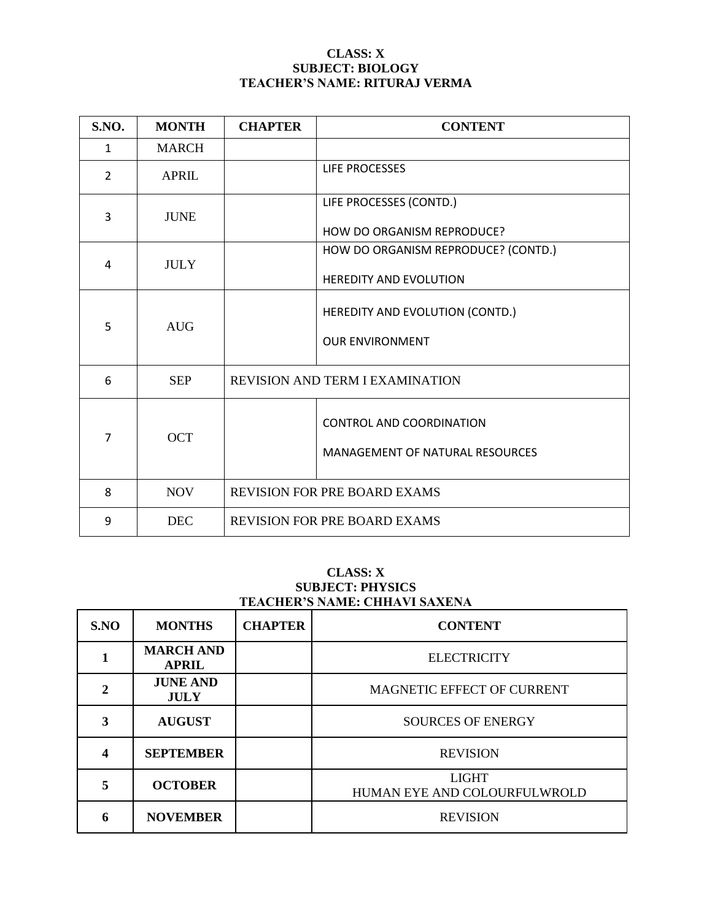## **CLASS: X SUBJECT: BIOLOGY TEACHER'S NAME: RITURAJ VERMA**

| S.NO.          | <b>MONTH</b> | <b>CHAPTER</b>                         | <b>CONTENT</b>                                                            |
|----------------|--------------|----------------------------------------|---------------------------------------------------------------------------|
| $\mathbf{1}$   | <b>MARCH</b> |                                        |                                                                           |
| $\overline{2}$ | <b>APRIL</b> |                                        | LIFE PROCESSES                                                            |
| 3              | <b>JUNE</b>  |                                        | LIFE PROCESSES (CONTD.)<br>HOW DO ORGANISM REPRODUCE?                     |
|                |              |                                        | HOW DO ORGANISM REPRODUCE? (CONTD.)                                       |
| 4              | <b>JULY</b>  |                                        | <b>HEREDITY AND EVOLUTION</b>                                             |
| 5              | <b>AUG</b>   |                                        | HEREDITY AND EVOLUTION (CONTD.)<br><b>OUR ENVIRONMENT</b>                 |
| 6              | <b>SEP</b>   | <b>REVISION AND TERM I EXAMINATION</b> |                                                                           |
| $\overline{7}$ | <b>OCT</b>   |                                        | <b>CONTROL AND COORDINATION</b><br><b>MANAGEMENT OF NATURAL RESOURCES</b> |
| 8              | <b>NOV</b>   | <b>REVISION FOR PRE BOARD EXAMS</b>    |                                                                           |
| 9              | <b>DEC</b>   | <b>REVISION FOR PRE BOARD EXAMS</b>    |                                                                           |

## **CLASS: X SUBJECT: PHYSICS TEACHER'S NAME: CHHAVI SAXENA**

| S.NO | <b>MONTHS</b>                    | <b>CHAPTER</b> | <b>CONTENT</b>                               |
|------|----------------------------------|----------------|----------------------------------------------|
|      | <b>MARCH AND</b><br><b>APRIL</b> |                | <b>ELECTRICITY</b>                           |
|      | <b>JUNE AND</b><br><b>JULY</b>   |                | MAGNETIC EFFECT OF CURRENT                   |
| 3    | <b>AUGUST</b>                    |                | <b>SOURCES OF ENERGY</b>                     |
|      | <b>SEPTEMBER</b>                 |                | <b>REVISION</b>                              |
| 5    | <b>OCTOBER</b>                   |                | <b>LIGHT</b><br>HUMAN EYE AND COLOURFULWROLD |
| 6    | <b>NOVEMBER</b>                  |                | <b>REVISION</b>                              |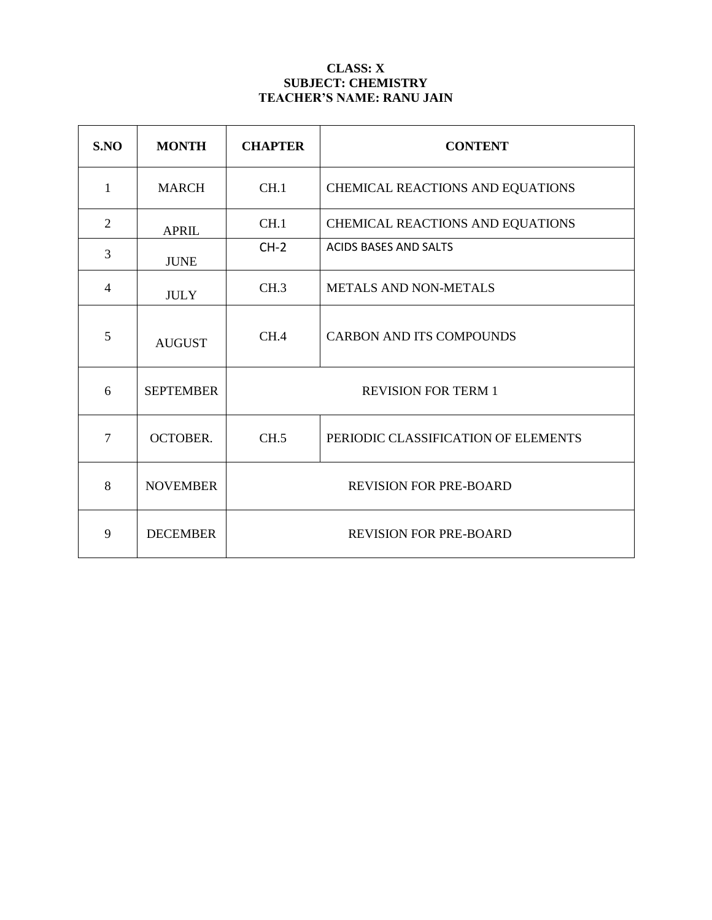# **CLASS: X SUBJECT: CHEMISTRY TEACHER'S NAME: RANU JAIN**

| SNO            | <b>MONTH</b>     | <b>CHAPTER</b>                | <b>CONTENT</b>                      |
|----------------|------------------|-------------------------------|-------------------------------------|
| $\mathbf{1}$   | <b>MARCH</b>     | CH.1                          | CHEMICAL REACTIONS AND EQUATIONS    |
| $\overline{2}$ | <b>APRIL</b>     | CH.1                          | CHEMICAL REACTIONS AND EQUATIONS    |
| 3              | <b>JUNE</b>      | $CH-2$                        | <b>ACIDS BASES AND SALTS</b>        |
| 4              | <b>JULY</b>      | CH.3                          | <b>METALS AND NON-METALS</b>        |
| 5              | <b>AUGUST</b>    | CH.4                          | <b>CARBON AND ITS COMPOUNDS</b>     |
| 6              | <b>SEPTEMBER</b> | <b>REVISION FOR TERM 1</b>    |                                     |
| 7              | <b>OCTOBER.</b>  | CH.5                          | PERIODIC CLASSIFICATION OF ELEMENTS |
| 8              | <b>NOVEMBER</b>  | <b>REVISION FOR PRE-BOARD</b> |                                     |
| 9              | <b>DECEMBER</b>  | <b>REVISION FOR PRE-BOARD</b> |                                     |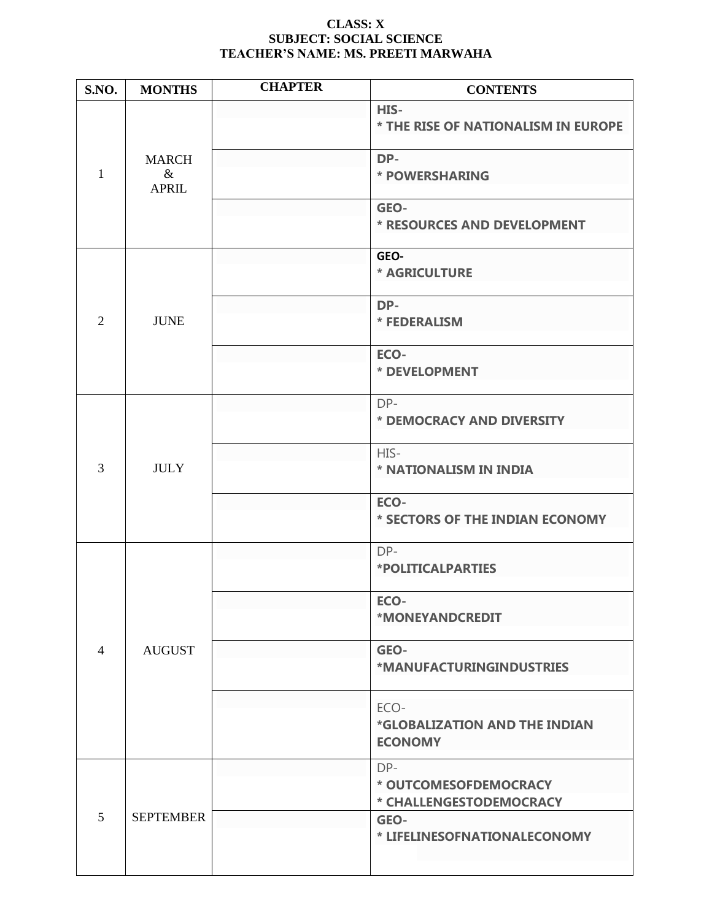## **CLASS: X SUBJECT: SOCIAL SCIENCE TEACHER'S NAME: MS. PREETI MARWAHA**

| S.NO.          | <b>MONTHS</b>                        | <b>CHAPTER</b> | <b>CONTENTS</b>                                         |
|----------------|--------------------------------------|----------------|---------------------------------------------------------|
| 1              | <b>MARCH</b><br>$\&$<br><b>APRIL</b> |                | HIS-<br>* THE RISE OF NATIONALISM IN EUROPE             |
|                |                                      |                | DP-<br>* POWERSHARING                                   |
|                |                                      |                | GEO-<br>* RESOURCES AND DEVELOPMENT                     |
|                |                                      |                | GEO-<br><b>* AGRICULTURE</b>                            |
| $\overline{2}$ | <b>JUNE</b>                          |                | DP-<br>* FEDERALISM                                     |
|                |                                      |                | ECO-<br>* DEVELOPMENT                                   |
|                |                                      |                | DP-<br>* DEMOCRACY AND DIVERSITY                        |
| 3              | <b>JULY</b>                          |                | HIS-<br>* NATIONALISM IN INDIA                          |
|                |                                      |                | ECO-<br>* SECTORS OF THE INDIAN ECONOMY                 |
|                | <b>AUGUST</b>                        |                | DP-<br>*POLITICALPARTIES                                |
|                |                                      |                | ECO-<br>*MONEYANDCREDIT                                 |
| 4              |                                      |                | GEO-<br>*MANUFACTURINGINDUSTRIES                        |
|                |                                      |                | ECO-<br>*GLOBALIZATION AND THE INDIAN<br><b>ECONOMY</b> |
| 5              | <b>SEPTEMBER</b>                     |                | DP-<br>* OUTCOMESOFDEMOCRACY<br>* CHALLENGESTODEMOCRACY |
|                |                                      |                | GEO-<br>* LIFELINESOFNATIONALECONOMY                    |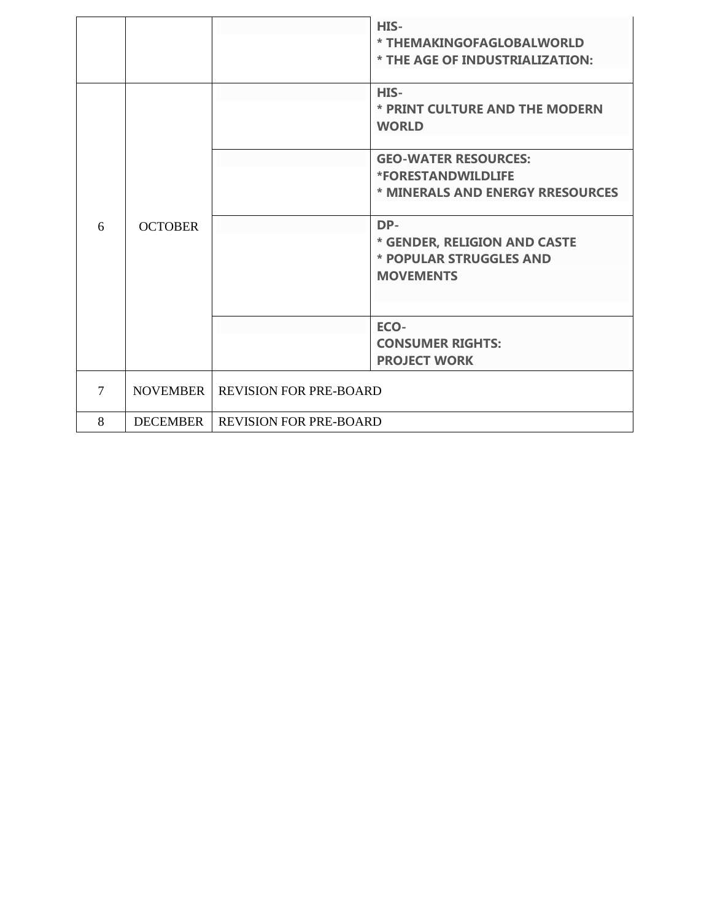|                     |                 |                               | HIS-<br>* THEMAKINGOFAGLOBALWORLD<br>* THE AGE OF INDUSTRIALIZATION:               |
|---------------------|-----------------|-------------------------------|------------------------------------------------------------------------------------|
|                     |                 |                               | HIS-<br>* PRINT CULTURE AND THE MODERN<br><b>WORLD</b>                             |
|                     |                 |                               | <b>GEO-WATER RESOURCES:</b>                                                        |
|                     |                 |                               | <b>*FORESTANDWILDLIFE</b>                                                          |
| <b>OCTOBER</b><br>6 |                 |                               | * MINERALS AND ENERGY RRESOURCES                                                   |
|                     |                 |                               | DP-<br>* GENDER, RELIGION AND CASTE<br>* POPULAR STRUGGLES AND<br><b>MOVEMENTS</b> |
|                     |                 |                               | ECO-                                                                               |
|                     |                 |                               | <b>CONSUMER RIGHTS:</b>                                                            |
|                     |                 |                               | <b>PROJECT WORK</b>                                                                |
| 7                   | <b>NOVEMBER</b> | <b>REVISION FOR PRE-BOARD</b> |                                                                                    |
| 8                   | <b>DECEMBER</b> | <b>REVISION FOR PRE-BOARD</b> |                                                                                    |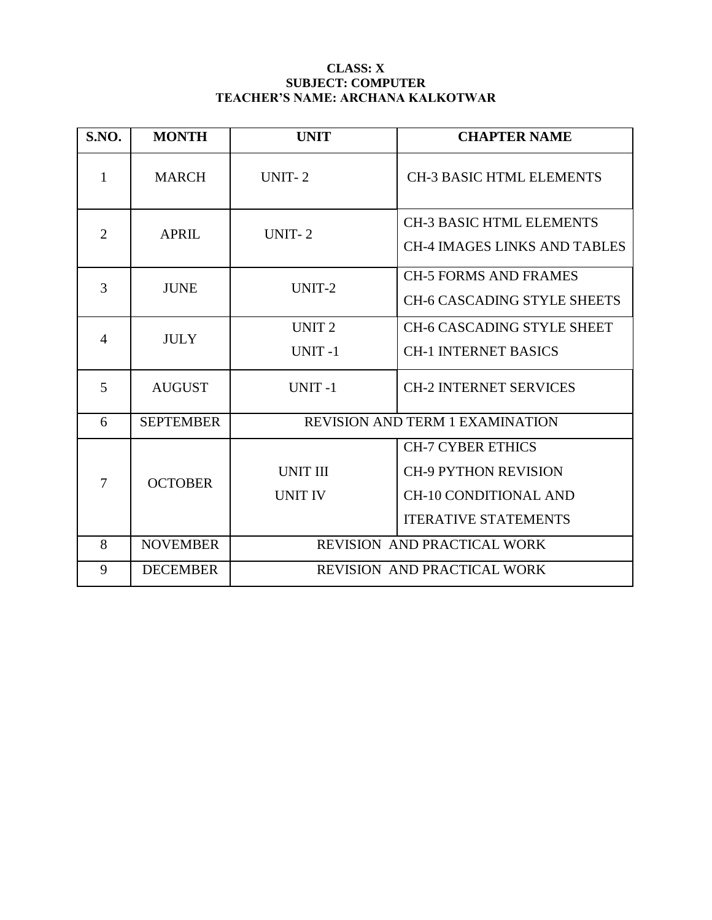## **CLASS: X SUBJECT: COMPUTER TEACHER'S NAME: ARCHANA KALKOTWAR**

| S.NO.          | <b>MONTH</b>     | <b>UNIT</b>                        | <b>CHAPTER NAME</b>                                                                                                    |  |
|----------------|------------------|------------------------------------|------------------------------------------------------------------------------------------------------------------------|--|
| 1              | <b>MARCH</b>     | UNIT-2                             | <b>CH-3 BASIC HTML ELEMENTS</b>                                                                                        |  |
| $\overline{2}$ | <b>APRIL</b>     | <b>UNIT-2</b>                      | <b>CH-3 BASIC HTML ELEMENTS</b><br><b>CH-4 IMAGES LINKS AND TABLES</b>                                                 |  |
| 3              | <b>JUNE</b>      | UNIT-2                             | <b>CH-5 FORMS AND FRAMES</b><br><b>CH-6 CASCADING STYLE SHEETS</b>                                                     |  |
| $\overline{4}$ | <b>JULY</b>      | UNIT <sub>2</sub><br>UNIT-1        | <b>CH-6 CASCADING STYLE SHEET</b><br><b>CH-1 INTERNET BASICS</b>                                                       |  |
| 5              | <b>AUGUST</b>    | <b>UNIT-1</b>                      | <b>CH-2 INTERNET SERVICES</b>                                                                                          |  |
| 6              | <b>SEPTEMBER</b> |                                    | <b>REVISION AND TERM 1 EXAMINATION</b>                                                                                 |  |
| $\overline{7}$ | <b>OCTOBER</b>   | <b>UNIT III</b><br><b>UNIT IV</b>  | <b>CH-7 CYBER ETHICS</b><br><b>CH-9 PYTHON REVISION</b><br><b>CH-10 CONDITIONAL AND</b><br><b>ITERATIVE STATEMENTS</b> |  |
| 8              | <b>NOVEMBER</b>  | REVISION AND PRACTICAL WORK        |                                                                                                                        |  |
| 9              | <b>DECEMBER</b>  | <b>REVISION AND PRACTICAL WORK</b> |                                                                                                                        |  |